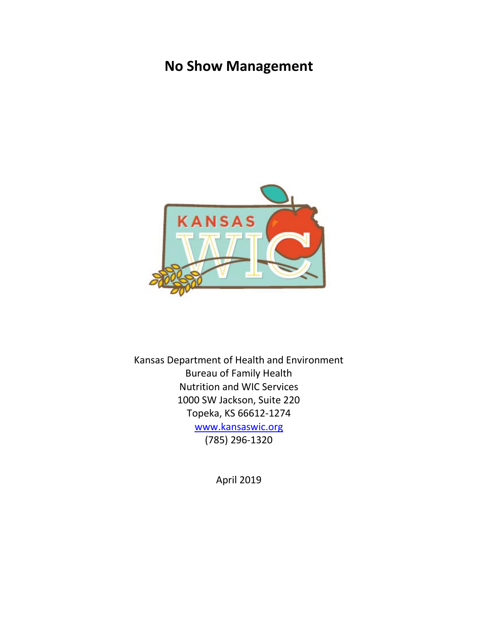# **No Show Management**



Kansas Department of Health and Environment Bureau of Family Health Nutrition and WIC Services 1000 SW Jackson, Suite 220 Topeka, KS 66612-1274 [www.kansaswic.org](http://www.kansaswic.org/) (785) 296-1320

April 2019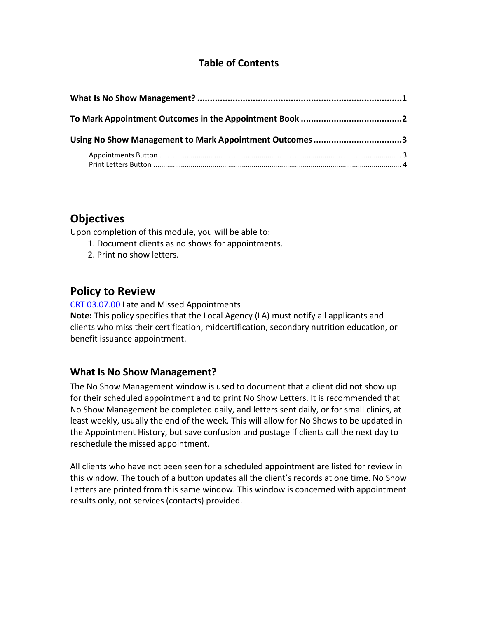## **Table of Contents**

| Using No Show Management to Mark Appointment Outcomes 3 |  |
|---------------------------------------------------------|--|
|                                                         |  |

## **Objectives**

Upon completion of this module, you will be able to:

- 1. Document clients as no shows for appointments.
- 2. Print no show letters.

## **Policy to Review**

[CRT 03.07.00](http://www.kansaswic.org/manual/eWIC_CRT_03_07_00_Late_Missed_Appointments.pdf) Late and Missed Appointments

**Note:** This policy specifies that the Local Agency (LA) must notify all applicants and clients who miss their certification, midcertification, secondary nutrition education, or benefit issuance appointment.

## <span id="page-1-0"></span>**What Is No Show Management?**

The No Show Management window is used to document that a client did not show up for their scheduled appointment and to print No Show Letters. It is recommended that No Show Management be completed daily, and letters sent daily, or for small clinics, at least weekly, usually the end of the week. This will allow for No Shows to be updated in the Appointment History, but save confusion and postage if clients call the next day to reschedule the missed appointment.

All clients who have not been seen for a scheduled appointment are listed for review in this window. The touch of a button updates all the client's records at one time. No Show Letters are printed from this same window. This window is concerned with appointment results only, not services (contacts) provided.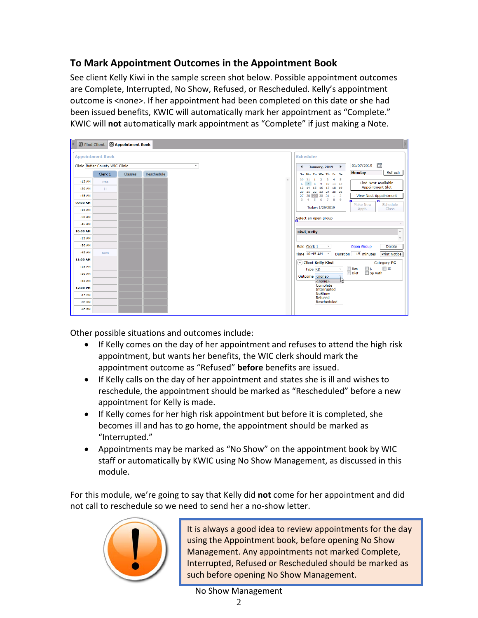## <span id="page-2-0"></span>**To Mark Appointment Outcomes in the Appointment Book**

See client Kelly Kiwi in the sample screen shot below. Possible appointment outcomes are Complete, Interrupted, No Show, Refused, or Rescheduled. Kelly's appointment outcome is <none>. If her appointment had been completed on this date or she had been issued benefits, KWIC will automatically mark her appointment as "Complete." KWIC will **not** automatically mark appointment as "Complete" if just making a Note.

| <b>Q</b> Find Client<br><b>2</b> Appointment Book |                                        |                |            |        |  |                  |           |                                                                                            |  |  |
|---------------------------------------------------|----------------------------------------|----------------|------------|--------|--|------------------|-----------|--------------------------------------------------------------------------------------------|--|--|
| <b>Appointment Book</b>                           |                                        |                |            |        |  | <b>Scheduler</b> |           |                                                                                            |  |  |
|                                                   | <b>Clinic Butler County WIC Clinic</b> |                |            | $\sim$ |  |                  |           | 15<br>01/07/2019<br>January, 2019 ><br>$\overline{\phantom{a}}$                            |  |  |
|                                                   | Clerk 1                                | <b>Classes</b> | Reschedule |        |  |                  |           | Refresh<br><b>Monday</b><br>Su Mo Tu We Th Fr Sa                                           |  |  |
| :15AM                                             | Pea                                    |                |            |        |  |                  | $\lambda$ | 30 31 1 2 3 4 5<br><b>Find Next Available</b><br>6 7 8 9 10 11 12                          |  |  |
| :30 AM                                            | ш                                      |                |            |        |  |                  |           | <b>Appointment Slot</b><br>13 14 15 16 17 18 19<br>20 21 22 23 24 25 26                    |  |  |
| :45 AM                                            |                                        |                |            |        |  |                  |           | 27 28 29 30 31 1 2<br><b>View Next Appointment</b><br>$4\ 5\ 6\ 7\ 8\ 9$<br>3 <sup>1</sup> |  |  |
| 09:00 AM                                          |                                        |                |            |        |  |                  |           | n<br>Schedule<br>Make New                                                                  |  |  |
| :15 AM                                            |                                        |                |            |        |  |                  |           | Today: 1/29/2019<br>Appt.<br>Class                                                         |  |  |
| :30 AM                                            |                                        |                |            |        |  |                  |           | Select an open group                                                                       |  |  |
| :45 AM                                            |                                        |                |            |        |  |                  |           |                                                                                            |  |  |
| 10:00 AM                                          |                                        |                |            |        |  |                  |           | <b>Kiwi, Kelly</b>                                                                         |  |  |
| :15 AM                                            |                                        |                |            |        |  |                  |           |                                                                                            |  |  |
| :30 AM                                            |                                        |                |            |        |  |                  |           | Role Clerk 1<br>Open Group<br><b>Delete</b><br>$\omega$                                    |  |  |
| :45 AM                                            | Kiwi                                   |                |            |        |  |                  |           | Time 10:45 AM<br>Duration 15 minutes<br><b>Print Notice</b><br>$\checkmark$                |  |  |
| 11:00 AM                                          |                                        |                |            |        |  |                  |           | Client Kelly Kiwi<br>Category PG                                                           |  |  |
| :15 AM                                            |                                        |                |            |        |  |                  |           | $\Box$ ID<br>$\Box$ s<br>$\Box$ Res<br><b>Type RD</b><br>$\ddot{}$                         |  |  |
| :30 AM                                            |                                        |                |            |        |  |                  |           | Sp Auth<br>Diet<br>Outcome <none><br/>Ü</none>                                             |  |  |
| :45 AM                                            |                                        |                |            |        |  |                  |           | ۱ų<br>$<$ none $>$                                                                         |  |  |
| 12:00 PM                                          |                                        |                |            |        |  |                  |           | Complete<br>Interrupted                                                                    |  |  |
| $:15$ PM                                          |                                        |                |            |        |  |                  |           | <b>NoShow</b><br>Refused                                                                   |  |  |
| :30 PM                                            |                                        |                |            |        |  |                  |           | Rescheduled                                                                                |  |  |
| :45 PM                                            |                                        |                |            |        |  |                  |           |                                                                                            |  |  |

Other possible situations and outcomes include:

- If Kelly comes on the day of her appointment and refuses to attend the high risk appointment, but wants her benefits, the WIC clerk should mark the appointment outcome as "Refused" **before** benefits are issued.
- If Kelly calls on the day of her appointment and states she is ill and wishes to reschedule, the appointment should be marked as "Rescheduled" before a new appointment for Kelly is made.
- If Kelly comes for her high risk appointment but before it is completed, she becomes ill and has to go home, the appointment should be marked as "Interrupted."
- Appointments may be marked as "No Show" on the appointment book by WIC staff or automatically by KWIC using No Show Management, as discussed in this module.

For this module, we're going to say that Kelly did **not** come for her appointment and did not call to reschedule so we need to send her a no-show letter.



It is always a good idea to review appointments for the day using the Appointment book, before opening No Show Management. Any appointments not marked Complete, Interrupted, Refused or Rescheduled should be marked as such before opening No Show Management.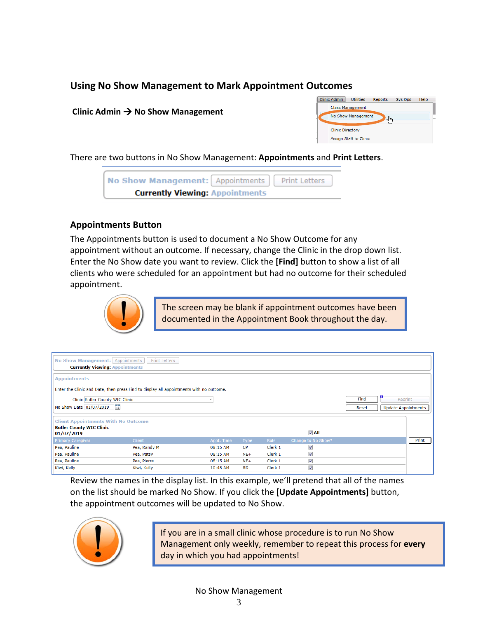## <span id="page-3-0"></span>**Using No Show Management to Mark Appointment Outcomes**

#### Clinic Admin  $\rightarrow$  No Show Management



There are two buttons in No Show Management: **Appointments** and **Print Letters**.

| No Show Management: Appointments   Print Letters |  |
|--------------------------------------------------|--|
| <b>Currently Viewing: Appointments</b>           |  |

#### <span id="page-3-1"></span>**Appointments Button**

The Appointments button is used to document a No Show Outcome for any appointment without an outcome. If necessary, change the Clinic in the drop down list. Enter the No Show date you want to review. Click the **[Find]** button to show a list of all clients who were scheduled for an appointment but had no outcome for their scheduled appointment.



The screen may be blank if appointment outcomes have been documented in the Appointment Book throughout the day.

| No Show Management: Appointments<br>Print Letters<br><b>Currently Viewing: Appointments</b>                                                                                                              |               |            |             |         |                          |  |       |  |
|----------------------------------------------------------------------------------------------------------------------------------------------------------------------------------------------------------|---------------|------------|-------------|---------|--------------------------|--|-------|--|
| <b>Appointments</b>                                                                                                                                                                                      |               |            |             |         |                          |  |       |  |
| Enter the Clinic and Date, then press Find to display all appointments with no outcome.                                                                                                                  |               |            |             |         |                          |  |       |  |
| Find<br>Clinic Butler County WIC Clinic<br>Reprint<br>No Show Date 01/07/2019 15<br><b>Update Appointments</b><br>Reset<br><b>Client Appointments With No Outcome</b><br><b>Butler County WIC Clinic</b> |               |            |             |         |                          |  |       |  |
| 01/07/2019                                                                                                                                                                                               |               |            |             |         | $V$ All                  |  |       |  |
| <b>Primary Caregiver</b>                                                                                                                                                                                 | <b>Client</b> | Appt. Time | <b>Type</b> | Role    | Change to No Show?       |  | Print |  |
| Pea, Pauline                                                                                                                                                                                             | Pea, Randy M  | 08:15 AM   | <b>CP</b>   | Clerk 1 | $\overline{\mathcal{A}}$ |  |       |  |
| Pea, Pauline                                                                                                                                                                                             | Pea, Patsy    | 08:15 AM   | $NE+$       | Clerk 1 | $\overline{J}$           |  |       |  |
| Pea, Pauline                                                                                                                                                                                             | Pea, Pierre   | 08:15 AM   | $NE+$       | Clerk 1 | V                        |  |       |  |
| Kiwi, Kelly                                                                                                                                                                                              | Kiwi, Kelly   | 10:45 AM   | <b>RD</b>   | Clerk 1 | $\overline{\mathcal{A}}$ |  |       |  |

Review the names in the display list. In this example, we'll pretend that all of the names on the list should be marked No Show. If you click the **[Update Appointments]** button, the appointment outcomes will be updated to No Show.



If you are in a small clinic whose procedure is to run No Show Management only weekly, remember to repeat this process for **every** day in which you had appointments!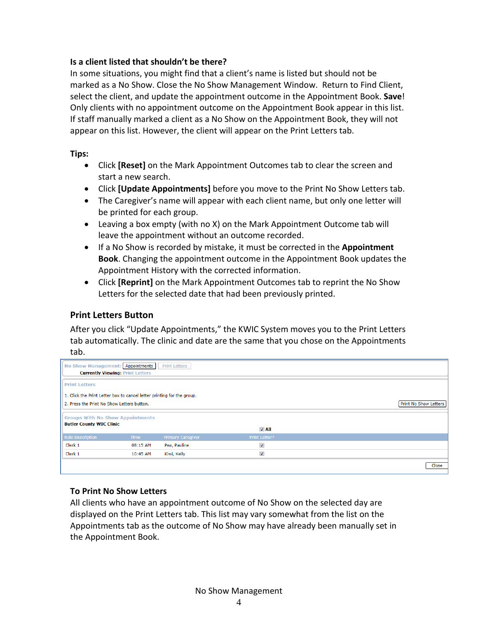#### **Is a client listed that shouldn't be there?**

In some situations, you might find that a client's name is listed but should not be marked as a No Show. Close the No Show Management Window. Return to Find Client, select the client, and update the appointment outcome in the Appointment Book. **Save**! Only clients with no appointment outcome on the Appointment Book appear in this list. If staff manually marked a client as a No Show on the Appointment Book, they will not appear on this list. However, the client will appear on the Print Letters tab.

#### **Tips:**

- Click **[Reset]** on the Mark Appointment Outcomes tab to clear the screen and start a new search.
- Click **[Update Appointments]** before you move to the Print No Show Letters tab.
- The Caregiver's name will appear with each client name, but only one letter will be printed for each group.
- Leaving a box empty (with no X) on the Mark Appointment Outcome tab will leave the appointment without an outcome recorded.
- If a No Show is recorded by mistake, it must be corrected in the **Appointment Book**. Changing the appointment outcome in the Appointment Book updates the Appointment History with the corrected information.
- Click **[Reprint]** on the Mark Appointment Outcomes tab to reprint the No Show Letters for the selected date that had been previously printed.

### <span id="page-4-0"></span>**Print Letters Button**

After you click "Update Appointments," the KWIC System moves you to the Print Letters tab automatically. The clinic and date are the same that you chose on the Appointments tab.

| No Show Management: Appointments<br><b>Print Letters</b><br><b>Currently Viewing: Print Letters</b>                                                  |             |                          |                         |       |  |  |  |
|------------------------------------------------------------------------------------------------------------------------------------------------------|-------------|--------------------------|-------------------------|-------|--|--|--|
| <b>Print Letters</b>                                                                                                                                 |             |                          |                         |       |  |  |  |
| 1. Click the Print Letter box to cancel letter printing for the group.<br><b>Print No Show Letters</b><br>2. Press the Print No Show Letters button. |             |                          |                         |       |  |  |  |
| <b>Groups With No Show Appointments</b><br><b>Butler County WIC Clinic</b><br>$\nabla$ All                                                           |             |                          |                         |       |  |  |  |
| <b>Role Description</b>                                                                                                                              | <b>Time</b> | <b>Primary Caregiver</b> | Print Letter?           |       |  |  |  |
| Clerk 1                                                                                                                                              | 08:15 AM    | Pea, Pauline             | $\overline{\mathbf{v}}$ |       |  |  |  |
| Clerk 1                                                                                                                                              | 10:45 AM    | Kiwi, Kelly              | V                       |       |  |  |  |
|                                                                                                                                                      |             |                          |                         | Close |  |  |  |

#### **To Print No Show Letters**

All clients who have an appointment outcome of No Show on the selected day are displayed on the Print Letters tab. This list may vary somewhat from the list on the Appointments tab as the outcome of No Show may have already been manually set in the Appointment Book.